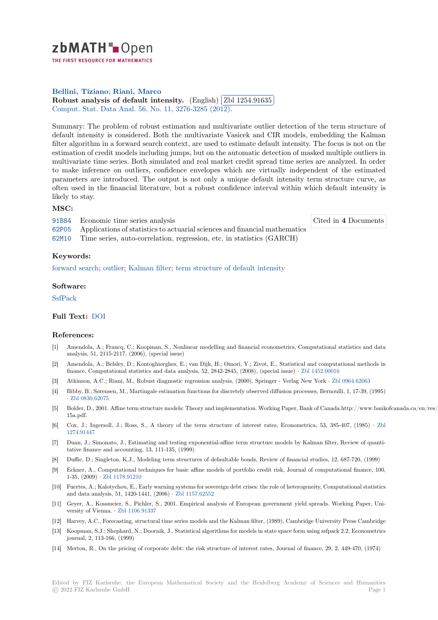

THE FIRST RESOURCE FOR MATHEMATICS

# **Bellini, Tiziano**; **Riani, Marco**

[R](https://zbmath.org/)obust analysis of default intensity. (English) **Zbl 1254.91635** ✂ Comput. Stat. Data Anal. 56, No. 11, 3276-3285 (2012). l. ✁

[Summary: The pr](https://zbmath.org/authors/?q=ai:bellini.tiziano)[oblem of robust](https://zbmath.org/authors/?q=ai:riani.marco) estimation and multivariate outlier detection of the term structure of [default intensity is considered. Both the](https://zbmath.org/1254.91635) multivariat[e Vasicek and CIR](https://zbmath.org/1254.91635) models, embedding the Kalman [filter algorithm in a forwar](https://zbmath.org/journals/?q=se:1714)[d search context, are used to e](https://zbmath.org/?q=in:302679)stimate default intensity. The focus is not on the estimation of credit models including jumps, but on the automatic detection of masked multiple outliers in multivariate time series. Both simulated and real market credit spread time series are analyzed. In order to make inference on outliers, confidence envelopes which are virtually independent of the estimated parameters are introduced. The output is not only a unique default intensity term structure curve, as often used in the financial literature, but a robust confidence interval within which default intensity is likely to stay.

## **MSC:**

91B84 Economic time series analysis

Cited in **4** Documents

62P05 Applications of statistics to actuarial sciences and financial mathematics 62M10 Time series, auto-correlation, regression, etc. in statistics (GARCH)

## **[Keyw](https://zbmath.org/classification/?q=cc:91B84)ords:**

[forwar](https://zbmath.org/classification/?q=cc:62P05)d search; outlier; Kalman filter; term structure of default intensity

## **Software:**

[SsfPack](https://zbmath.org/?q=ut:forward+search)

## **Full Text:** DOI

### **[Referen](https://swmath.org/software/9502)ces:**

- [1] Amendola, A.; Francq, C.; Koopman, S., Nonlinear modelling and financial econometrics, Computational statistics and data analysis, [51, 21](https://dx.doi.org/10.1016/j.csda.2011.03.007)15-2117, (2006), (special issue)
- [2] Amendola, A.; Belsley, D.; Kontoghiorghes, E.; van Dijk, H.; Omori, Y.; Zivot, E., Statistical and computational methods in finance, Computational statistics and data analysis, 52, 2842-2845, (2008), (special issue) *·* Zbl 1452.00016
- [3] Atkinson, A.C.; Riani, M., Robust diagnostic regression analysis, (2000), Springer Verlag New York *·* Zbl 0964.62063
- [4] Bibby, B.; Sørensen, M., Martingale estimation functions for discretely observed diffusion processes, Bernoulli, 1, 17-39, (1995) *·* Zbl 0830.62075
- [5] Bolder, D., 2001. Affine term structure models: Theory and implementation. Working Paper, [Bank of Canada.](https://zbmath.org/1452.00016)http://www.bankofcanada.ca/en/res/wp/2001. 15a.pdf.
- [6] Cox, J.; Ingersoll, J.; Ross, S., A theory of the term structure of interest rates, Econometrica, 53, 385-407, (1985) *·* Zbl 1[274.91447](https://zbmath.org/0830.62075)
- [7] Duan, J.; Simonato, J., Estimating and testing exponential-affine term structure models by Kalman filter, Review of quantitative finance and accounting, 13, 111-135, (1999)
- [8] Duffie, D.; Singleton, K.J., Modeling term structures of defaultable bonds, Review of financial studies, 12, 687-720, (199[9\)](https://zbmath.org/1274.91447)
- [9] [Eckner, A.,](https://zbmath.org/1274.91447) Computational techniques for basic affine models of portfolio credit risk, Journal of computational finance, 100, 1-35, (2009) *·* Zbl 1178.91210
- [10] Fuertes, A.; Kalotychou, E., Early warning systems for sovereign debt crises: the role of heterogeneity, Computational statistics and data analysis, 51, 1420-1441, (2006) *·* Zbl 1157.62552
- [11] Geyer, A., Kossmeier, S., Pichler, S., 2001. Empirical analysis of European government yield spreads. Working Paper, University of Vienna. *·* [Zbl 1106.](https://zbmath.org/1178.91210)91337
- [12] Harvey, A.C., Forecasting, structural time series models and the Kalman filter, (1989), Cambridge University Press Cambridge
- [13] Koopman, S.J.; Shephard, N.; Doornik, J., [Statistical algor](https://zbmath.org/1157.62552)ithms for models in state space form using ssfpack 2.2, Econometrics journal, 2, 113-166, (1999)
- [14] Merton, R., On the [pricing of corpo](https://zbmath.org/1106.91337)rate debt: the risk structure of interest rates, Journal of finance, 29, 2, 449-470, (1974)